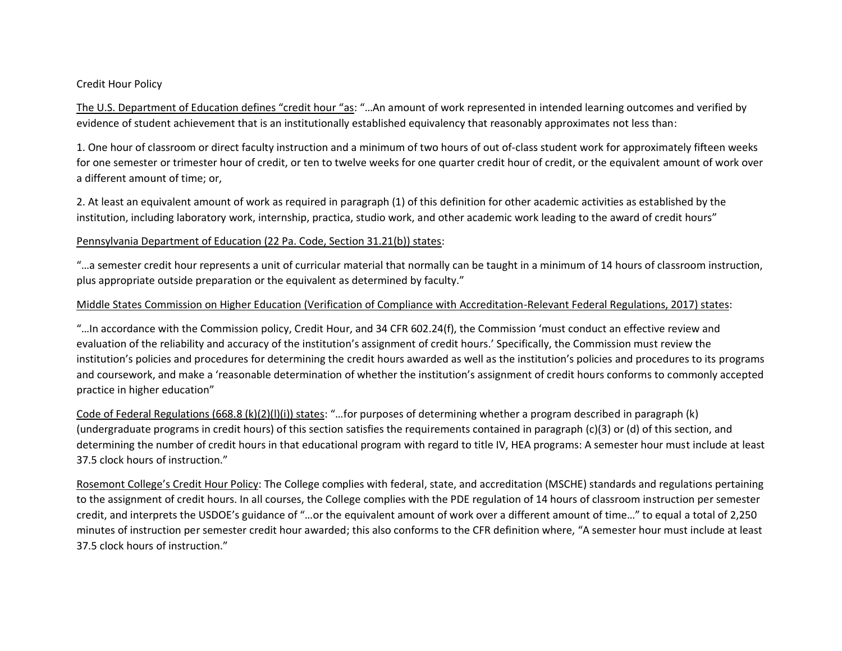### Credit Hour Policy

The U.S. Department of Education defines "credit hour "as: "…An amount of work represented in intended learning outcomes and verified by evidence of student achievement that is an institutionally established equivalency that reasonably approximates not less than:

1. One hour of classroom or direct faculty instruction and a minimum of two hours of out of-class student work for approximately fifteen weeks for one semester or trimester hour of credit, or ten to twelve weeks for one quarter credit hour of credit, or the equivalent amount of work over a different amount of time; or,

2. At least an equivalent amount of work as required in paragraph (1) of this definition for other academic activities as established by the institution, including laboratory work, internship, practica, studio work, and other academic work leading to the award of credit hours"

## Pennsylvania Department of Education (22 Pa. Code, Section 31.21(b)) states:

"...a semester credit hour represents a unit of curricular material that normally can be taught in a minimum of 14 hours of classroom instruction, plus appropriate outside preparation or the equivalent as determined by faculty."

## Middle States Commission on Higher Education (Verification of Compliance with Accreditation-Relevant Federal Regulations, 2017) states:

"…In accordance with the Commission policy, Credit Hour, and 34 CFR 602.24(f), the Commission 'must conduct an effective review and evaluation of the reliability and accuracy of the institution's assignment of credit hours.' Specifically, the Commission must review the institution's policies and procedures for determining the credit hours awarded as well as the institution's policies and procedures to its programs and coursework, and make a 'reasonable determination of whether the institution's assignment of credit hours conforms to commonly accepted practice in higher education"

Code of Federal Regulations (668.8 (k)(2)(l)(i)) states: "…for purposes of determining whether a program described in paragraph (k) (undergraduate programs in credit hours) of this section satisfies the requirements contained in paragraph (c)(3) or (d) of this section, and determining the number of credit hours in that educational program with regard to title IV, HEA programs: A semester hour must include at least 37.5 clock hours of instruction."

Rosemont College's Credit Hour Policy: The College complies with federal, state, and accreditation (MSCHE) standards and regulations pertaining to the assignment of credit hours. In all courses, the College complies with the PDE regulation of 14 hours of classroom instruction per semester credit, and interprets the USDOE's guidance of "…or the equivalent amount of work over a different amount of time…" to equal a total of 2,250 minutes of instruction per semester credit hour awarded; this also conforms to the CFR definition where, "A semester hour must include at least 37.5 clock hours of instruction."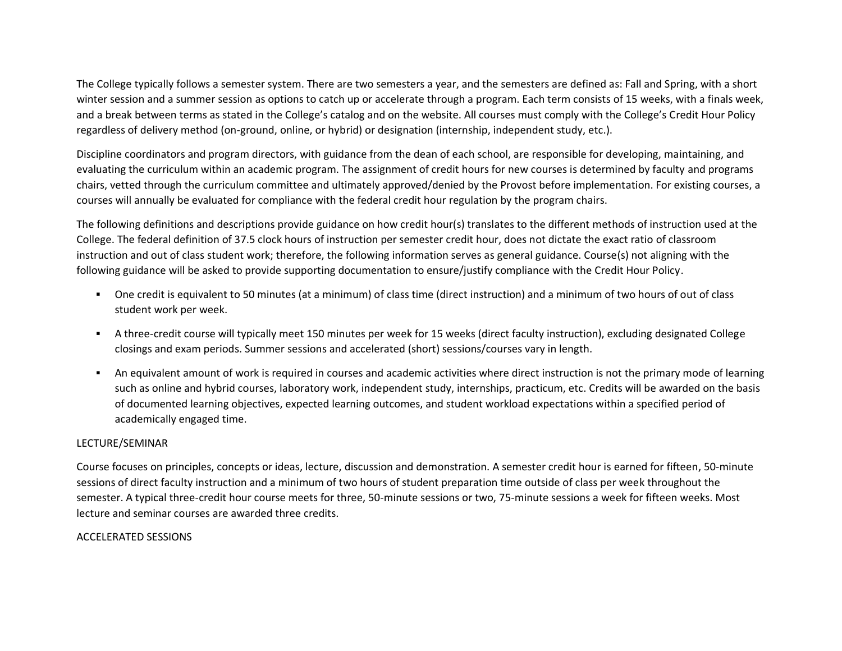The College typically follows a semester system. There are two semesters a year, and the semesters are defined as: Fall and Spring, with a short winter session and a summer session as options to catch up or accelerate through a program. Each term consists of 15 weeks, with a finals week, and a break between terms as stated in the College's catalog and on the website. All courses must comply with the College's Credit Hour Policy regardless of delivery method (on-ground, online, or hybrid) or designation (internship, independent study, etc.).

Discipline coordinators and program directors, with guidance from the dean of each school, are responsible for developing, maintaining, and evaluating the curriculum within an academic program. The assignment of credit hours for new courses is determined by faculty and programs chairs, vetted through the curriculum committee and ultimately approved/denied by the Provost before implementation. For existing courses, a courses will annually be evaluated for compliance with the federal credit hour regulation by the program chairs.

The following definitions and descriptions provide guidance on how credit hour(s) translates to the different methods of instruction used at the College. The federal definition of 37.5 clock hours of instruction per semester credit hour, does not dictate the exact ratio of classroom instruction and out of class student work; therefore, the following information serves as general guidance. Course(s) not aligning with the following guidance will be asked to provide supporting documentation to ensure/justify compliance with the Credit Hour Policy.

- One credit is equivalent to 50 minutes (at a minimum) of class time (direct instruction) and a minimum of two hours of out of class student work per week.
- A three-credit course will typically meet 150 minutes per week for 15 weeks (direct faculty instruction), excluding designated College closings and exam periods. Summer sessions and accelerated (short) sessions/courses vary in length.
- An equivalent amount of work is required in courses and academic activities where direct instruction is not the primary mode of learning such as online and hybrid courses, laboratory work, independent study, internships, practicum, etc. Credits will be awarded on the basis of documented learning objectives, expected learning outcomes, and student workload expectations within a specified period of academically engaged time.

## LECTURE/SEMINAR

Course focuses on principles, concepts or ideas, lecture, discussion and demonstration. A semester credit hour is earned for fifteen, 50-minute sessions of direct faculty instruction and a minimum of two hours of student preparation time outside of class per week throughout the semester. A typical three-credit hour course meets for three, 50-minute sessions or two, 75-minute sessions a week for fifteen weeks. Most lecture and seminar courses are awarded three credits.

### ACCELERATED SESSIONS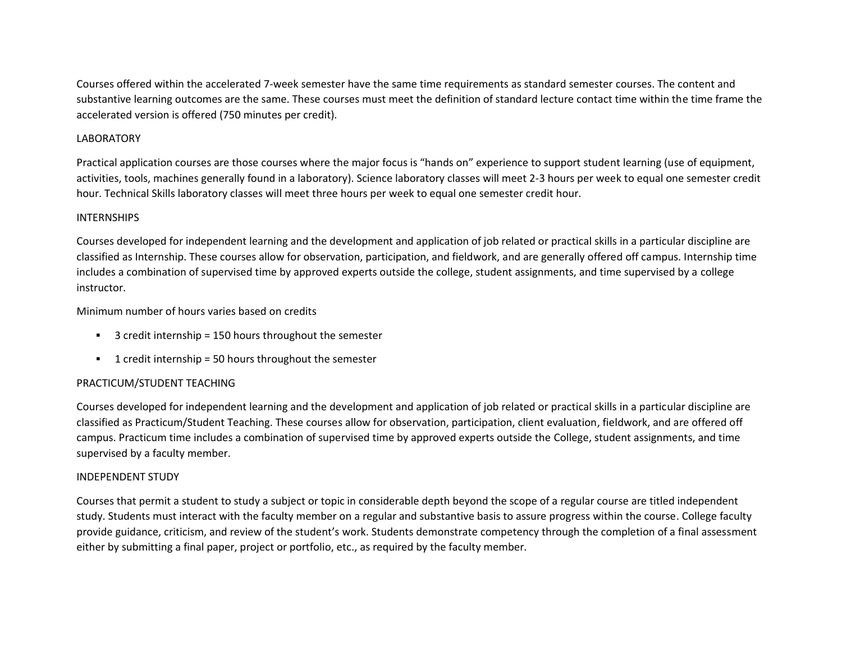Courses offered within the accelerated 7-week semester have the same time requirements as standard semester courses. The content and substantive learning outcomes are the same. These courses must meet the definition of standard lecture contact time within the time frame the accelerated version is offered (750 minutes per credit).

## LABORATORY

Practical application courses are those courses where the major focus is "hands on" experience to support student learning (use of equipment, activities, tools, machines generally found in a laboratory). Science laboratory classes will meet 2-3 hours per week to equal one semester credit hour. Technical Skills laboratory classes will meet three hours per week to equal one semester credit hour.

### INTERNSHIPS

Courses developed for independent learning and the development and application of job related or practical skills in a particular discipline are classified as Internship. These courses allow for observation, participation, and fieldwork, and are generally offered off campus. Internship time includes a combination of supervised time by approved experts outside the college, student assignments, and time supervised by a college instructor.

Minimum number of hours varies based on credits

- 3 credit internship = 150 hours throughout the semester
- 1 credit internship = 50 hours throughout the semester

## PRACTICUM/STUDENT TEACHING

Courses developed for independent learning and the development and application of job related or practical skills in a particular discipline are classified as Practicum/Student Teaching. These courses allow for observation, participation, client evaluation, fieldwork, and are offered off campus. Practicum time includes a combination of supervised time by approved experts outside the College, student assignments, and time supervised by a faculty member.

### INDEPENDENT STUDY

Courses that permit a student to study a subject or topic in considerable depth beyond the scope of a regular course are titled independent study. Students must interact with the faculty member on a regular and substantive basis to assure progress within the course. College faculty provide guidance, criticism, and review of the student's work. Students demonstrate competency through the completion of a final assessment either by submitting a final paper, project or portfolio, etc., as required by the faculty member.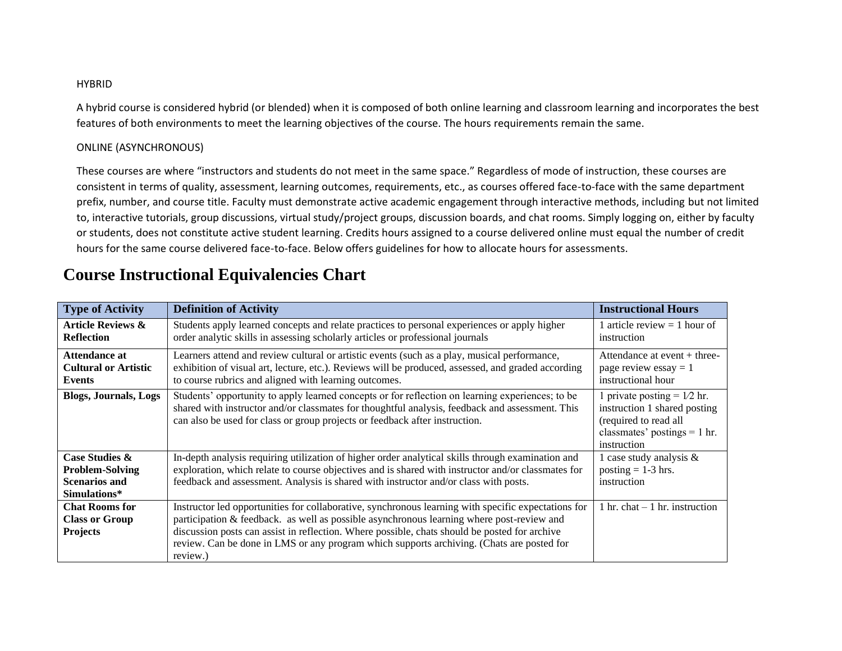#### **HYBRID**

A hybrid course is considered hybrid (or blended) when it is composed of both online learning and classroom learning and incorporates the best features of both environments to meet the learning objectives of the course. The hours requirements remain the same.

## ONLINE (ASYNCHRONOUS)

These courses are where "instructors and students do not meet in the same space." Regardless of mode of instruction, these courses are consistent in terms of quality, assessment, learning outcomes, requirements, etc., as courses offered face-to-face with the same department prefix, number, and course title. Faculty must demonstrate active academic engagement through interactive methods, including but not limited to, interactive tutorials, group discussions, virtual study/project groups, discussion boards, and chat rooms. Simply logging on, either by faculty or students, does not constitute active student learning. Credits hours assigned to a course delivered online must equal the number of credit hours for the same course delivered face-to-face. Below offers guidelines for how to allocate hours for assessments.

| <b>Type of Activity</b>                                                                     | <b>Definition of Activity</b>                                                                                                                                                                                                                                                                                                                                                                              | <b>Instructional Hours</b>                                                                                                              |
|---------------------------------------------------------------------------------------------|------------------------------------------------------------------------------------------------------------------------------------------------------------------------------------------------------------------------------------------------------------------------------------------------------------------------------------------------------------------------------------------------------------|-----------------------------------------------------------------------------------------------------------------------------------------|
| <b>Article Reviews &amp;</b><br><b>Reflection</b>                                           | Students apply learned concepts and relate practices to personal experiences or apply higher<br>order analytic skills in assessing scholarly articles or professional journals                                                                                                                                                                                                                             | 1 article review $=$ 1 hour of<br>instruction                                                                                           |
| <b>Attendance at</b><br><b>Cultural or Artistic</b><br>Events                               | Learners attend and review cultural or artistic events (such as a play, musical performance,<br>exhibition of visual art, lecture, etc.). Reviews will be produced, assessed, and graded according<br>to course rubrics and aligned with learning outcomes.                                                                                                                                                | Attendance at event $+$ three-<br>page review essay $= 1$<br>instructional hour                                                         |
| <b>Blogs, Journals, Logs</b>                                                                | Students' opportunity to apply learned concepts or for reflection on learning experiences; to be<br>shared with instructor and/or classmates for thoughtful analysis, feedback and assessment. This<br>can also be used for class or group projects or feedback after instruction.                                                                                                                         | 1 private posting = $1/2$ hr.<br>instruction 1 shared posting<br>(required to read all<br>classmates' postings $= 1$ hr.<br>instruction |
| <b>Case Studies &amp;</b><br><b>Problem-Solving</b><br><b>Scenarios and</b><br>Simulations* | In-depth analysis requiring utilization of higher order analytical skills through examination and<br>exploration, which relate to course objectives and is shared with instructor and/or classmates for<br>feedback and assessment. Analysis is shared with instructor and/or class with posts.                                                                                                            | 1 case study analysis $\&$<br>posting $= 1-3$ hrs.<br>instruction                                                                       |
| <b>Chat Rooms for</b><br><b>Class or Group</b><br><b>Projects</b>                           | Instructor led opportunities for collaborative, synchronous learning with specific expectations for<br>participation & feedback. as well as possible asynchronous learning where post-review and<br>discussion posts can assist in reflection. Where possible, chats should be posted for archive<br>review. Can be done in LMS or any program which supports archiving. (Chats are posted for<br>review.) | 1 hr. chat $-1$ hr. instruction                                                                                                         |

# **Course Instructional Equivalencies Chart**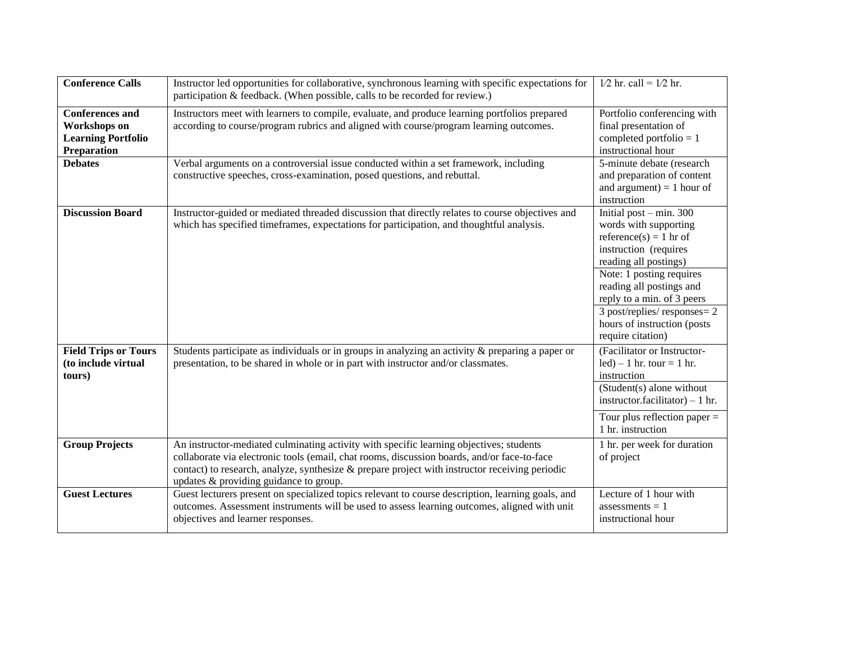| <b>Conference Calls</b>                                                                   | Instructor led opportunities for collaborative, synchronous learning with specific expectations for<br>participation & feedback. (When possible, calls to be recorded for review.)                                                                                                                                                    | $1/2$ hr. call = $1/2$ hr.                                                                                                                                                                                                                                                                                |
|-------------------------------------------------------------------------------------------|---------------------------------------------------------------------------------------------------------------------------------------------------------------------------------------------------------------------------------------------------------------------------------------------------------------------------------------|-----------------------------------------------------------------------------------------------------------------------------------------------------------------------------------------------------------------------------------------------------------------------------------------------------------|
| <b>Conferences</b> and<br><b>Workshops</b> on<br><b>Learning Portfolio</b><br>Preparation | Instructors meet with learners to compile, evaluate, and produce learning portfolios prepared<br>according to course/program rubrics and aligned with course/program learning outcomes.                                                                                                                                               | Portfolio conferencing with<br>final presentation of<br>completed portfolio $= 1$<br>instructional hour                                                                                                                                                                                                   |
| <b>Debates</b>                                                                            | Verbal arguments on a controversial issue conducted within a set framework, including<br>constructive speeches, cross-examination, posed questions, and rebuttal.                                                                                                                                                                     | 5-minute debate (research<br>and preparation of content<br>and argument) = 1 hour of<br>instruction                                                                                                                                                                                                       |
| <b>Discussion Board</b>                                                                   | Instructor-guided or mediated threaded discussion that directly relates to course objectives and<br>which has specified timeframes, expectations for participation, and thoughtful analysis.                                                                                                                                          | Initial post $-$ min. 300<br>words with supporting<br>reference(s) = 1 hr of<br>instruction (requires<br>reading all postings)<br>Note: 1 posting requires<br>reading all postings and<br>reply to a min. of 3 peers<br>3 post/replies/ responses = 2<br>hours of instruction (posts<br>require citation) |
| <b>Field Trips or Tours</b><br>(to include virtual<br>tours)                              | Students participate as individuals or in groups in analyzing an activity $\&$ preparing a paper or<br>presentation, to be shared in whole or in part with instructor and/or classmates.                                                                                                                                              | (Facilitator or Instructor-<br>$led$ – 1 hr. tour = 1 hr.<br>instruction<br>(Student(s) alone without<br>instructor.facilitator) $-1$ hr.                                                                                                                                                                 |
|                                                                                           |                                                                                                                                                                                                                                                                                                                                       | Tour plus reflection paper $=$<br>1 hr. instruction                                                                                                                                                                                                                                                       |
| <b>Group Projects</b>                                                                     | An instructor-mediated culminating activity with specific learning objectives; students<br>collaborate via electronic tools (email, chat rooms, discussion boards, and/or face-to-face<br>contact) to research, analyze, synthesize $\&$ prepare project with instructor receiving periodic<br>updates & providing guidance to group. | 1 hr. per week for duration<br>of project                                                                                                                                                                                                                                                                 |
| <b>Guest Lectures</b>                                                                     | Guest lecturers present on specialized topics relevant to course description, learning goals, and<br>outcomes. Assessment instruments will be used to assess learning outcomes, aligned with unit<br>objectives and learner responses.                                                                                                | Lecture of 1 hour with<br>assessments $= 1$<br>instructional hour                                                                                                                                                                                                                                         |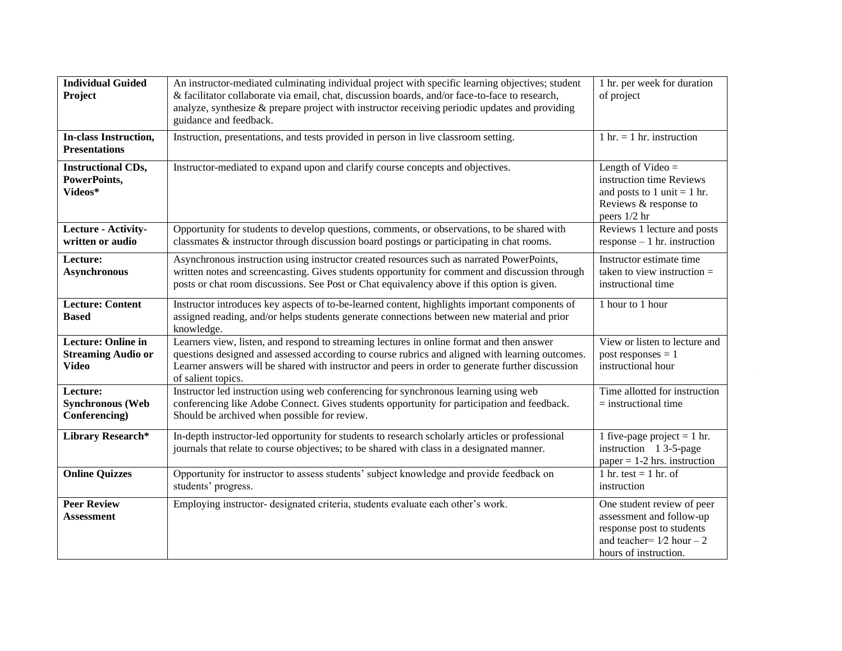| <b>Individual Guided</b>                                               | An instructor-mediated culminating individual project with specific learning objectives; student                                                                                                                                                                                                                       | 1 hr. per week for duration                                                                                                                 |
|------------------------------------------------------------------------|------------------------------------------------------------------------------------------------------------------------------------------------------------------------------------------------------------------------------------------------------------------------------------------------------------------------|---------------------------------------------------------------------------------------------------------------------------------------------|
| Project                                                                | & facilitator collaborate via email, chat, discussion boards, and/or face-to-face to research,<br>analyze, synthesize & prepare project with instructor receiving periodic updates and providing<br>guidance and feedback.                                                                                             | of project                                                                                                                                  |
| <b>In-class Instruction,</b><br><b>Presentations</b>                   | Instruction, presentations, and tests provided in person in live classroom setting.                                                                                                                                                                                                                                    | $1 \text{ hr.} = 1 \text{ hr.}$ instruction                                                                                                 |
| <b>Instructional CDs,</b><br>PowerPoints,<br>Videos*                   | Instructor-mediated to expand upon and clarify course concepts and objectives.                                                                                                                                                                                                                                         | Length of Video $=$<br>instruction time Reviews<br>and posts to 1 unit $=$ 1 hr.<br>Reviews & response to<br>peers 1/2 hr                   |
| Lecture - Activity-<br>written or audio                                | Opportunity for students to develop questions, comments, or observations, to be shared with<br>classmates & instructor through discussion board postings or participating in chat rooms.                                                                                                                               | Reviews 1 lecture and posts<br>$response - 1 hr. instruction$                                                                               |
| Lecture:<br><b>Asynchronous</b>                                        | Asynchronous instruction using instructor created resources such as narrated PowerPoints,<br>written notes and screencasting. Gives students opportunity for comment and discussion through<br>posts or chat room discussions. See Post or Chat equivalency above if this option is given.                             | Instructor estimate time<br>taken to view instruction $=$<br>instructional time                                                             |
| <b>Lecture: Content</b><br><b>Based</b>                                | Instructor introduces key aspects of to-be-learned content, highlights important components of<br>assigned reading, and/or helps students generate connections between new material and prior<br>knowledge.                                                                                                            | 1 hour to 1 hour                                                                                                                            |
| <b>Lecture: Online in</b><br><b>Streaming Audio or</b><br><b>Video</b> | Learners view, listen, and respond to streaming lectures in online format and then answer<br>questions designed and assessed according to course rubrics and aligned with learning outcomes.<br>Learner answers will be shared with instructor and peers in order to generate further discussion<br>of salient topics. | View or listen to lecture and<br>post responses $= 1$<br>instructional hour                                                                 |
| Lecture:<br><b>Synchronous (Web</b><br>Conferencing)                   | Instructor led instruction using web conferencing for synchronous learning using web<br>conferencing like Adobe Connect. Gives students opportunity for participation and feedback.<br>Should be archived when possible for review.                                                                                    | Time allotted for instruction<br>$=$ instructional time                                                                                     |
| <b>Library Research*</b>                                               | In-depth instructor-led opportunity for students to research scholarly articles or professional<br>journals that relate to course objectives; to be shared with class in a designated manner.                                                                                                                          | 1 five-page project = $1$ hr.<br>instruction 1 3-5-page<br>paper = $1-2$ hrs. instruction                                                   |
| <b>Online Quizzes</b>                                                  | Opportunity for instructor to assess students' subject knowledge and provide feedback on<br>students' progress.                                                                                                                                                                                                        | 1 hr. test = 1 hr. of<br>instruction                                                                                                        |
| <b>Peer Review</b><br><b>Assessment</b>                                | Employing instructor- designated criteria, students evaluate each other's work.                                                                                                                                                                                                                                        | One student review of peer<br>assessment and follow-up<br>response post to students<br>and teacher= $1/2$ hour - 2<br>hours of instruction. |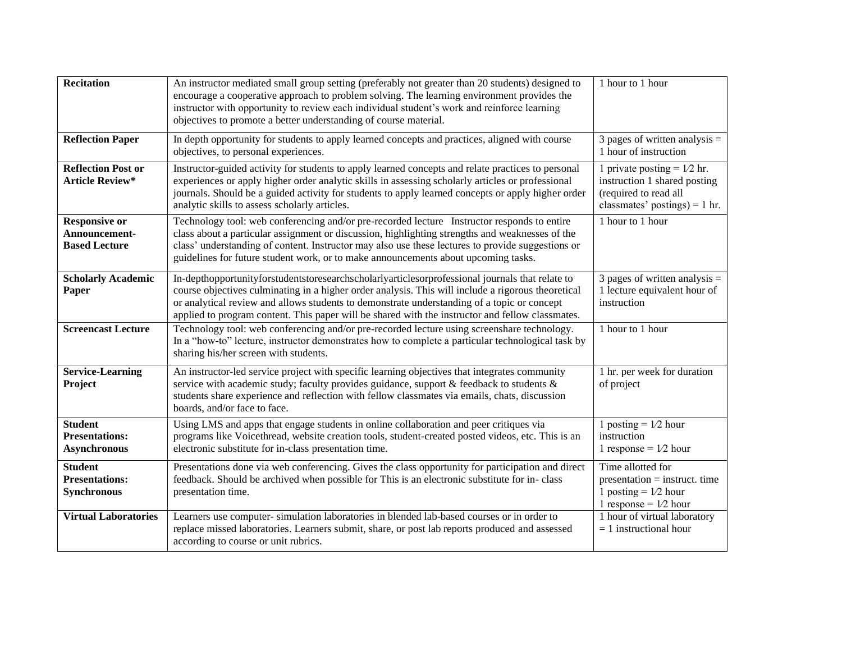| <b>Recitation</b>                                              | An instructor mediated small group setting (preferably not greater than 20 students) designed to<br>encourage a cooperative approach to problem solving. The learning environment provides the<br>instructor with opportunity to review each individual student's work and reinforce learning<br>objectives to promote a better understanding of course material.                                        | 1 hour to 1 hour                                                                                                          |
|----------------------------------------------------------------|----------------------------------------------------------------------------------------------------------------------------------------------------------------------------------------------------------------------------------------------------------------------------------------------------------------------------------------------------------------------------------------------------------|---------------------------------------------------------------------------------------------------------------------------|
| <b>Reflection Paper</b>                                        | In depth opportunity for students to apply learned concepts and practices, aligned with course<br>objectives, to personal experiences.                                                                                                                                                                                                                                                                   | 3 pages of written analysis $=$<br>1 hour of instruction                                                                  |
| <b>Reflection Post or</b><br><b>Article Review*</b>            | Instructor-guided activity for students to apply learned concepts and relate practices to personal<br>experiences or apply higher order analytic skills in assessing scholarly articles or professional<br>journals. Should be a guided activity for students to apply learned concepts or apply higher order<br>analytic skills to assess scholarly articles.                                           | 1 private posting = $1/2$ hr.<br>instruction 1 shared posting<br>(required to read all<br>classmates' postings) = $1$ hr. |
| <b>Responsive or</b><br>Announcement-<br><b>Based Lecture</b>  | Technology tool: web conferencing and/or pre-recorded lecture Instructor responds to entire<br>class about a particular assignment or discussion, highlighting strengths and weaknesses of the<br>class' understanding of content. Instructor may also use these lectures to provide suggestions or<br>guidelines for future student work, or to make announcements about upcoming tasks.                | 1 hour to 1 hour                                                                                                          |
| <b>Scholarly Academic</b><br>Paper                             | In-depthopportunityforstudentstoresearchscholarlyarticlesorprofessional journals that relate to<br>course objectives culminating in a higher order analysis. This will include a rigorous theoretical<br>or analytical review and allows students to demonstrate understanding of a topic or concept<br>applied to program content. This paper will be shared with the instructor and fellow classmates. | 3 pages of written analysis $=$<br>1 lecture equivalent hour of<br>instruction                                            |
| <b>Screencast Lecture</b>                                      | Technology tool: web conferencing and/or pre-recorded lecture using screenshare technology.<br>In a "how-to" lecture, instructor demonstrates how to complete a particular technological task by<br>sharing his/her screen with students.                                                                                                                                                                | 1 hour to 1 hour                                                                                                          |
| <b>Service-Learning</b><br>Project                             | An instructor-led service project with specific learning objectives that integrates community<br>service with academic study; faculty provides guidance, support & feedback to students &<br>students share experience and reflection with fellow classmates via emails, chats, discussion<br>boards, and/or face to face.                                                                               | 1 hr. per week for duration<br>of project                                                                                 |
| <b>Student</b><br><b>Presentations:</b><br><b>Asynchronous</b> | Using LMS and apps that engage students in online collaboration and peer critiques via<br>programs like Voicethread, website creation tools, student-created posted videos, etc. This is an<br>electronic substitute for in-class presentation time.                                                                                                                                                     | 1 posting = $1/2$ hour<br>instruction<br>1 response = $1/2$ hour                                                          |
| <b>Student</b><br><b>Presentations:</b><br><b>Synchronous</b>  | Presentations done via web conferencing. Gives the class opportunity for participation and direct<br>feedback. Should be archived when possible for This is an electronic substitute for in-class<br>presentation time.                                                                                                                                                                                  | Time allotted for<br>$presentation = instructor$ . time<br>1 posting = $1/2$ hour<br>1 response = $1/2$ hour              |
| <b>Virtual Laboratories</b>                                    | Learners use computer- simulation laboratories in blended lab-based courses or in order to<br>replace missed laboratories. Learners submit, share, or post lab reports produced and assessed<br>according to course or unit rubrics.                                                                                                                                                                     | 1 hour of virtual laboratory<br>$= 1$ instructional hour                                                                  |